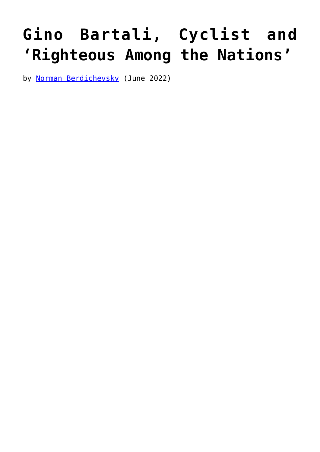## **[Gino Bartali, Cyclist and](https://www.newenglishreview.org/articles/gino-bartali-cyclist-and-righteous-among-the-nations/) ['Righteous Among the Nations'](https://www.newenglishreview.org/articles/gino-bartali-cyclist-and-righteous-among-the-nations/)**

by [Norman Berdichevsky](https://www.newenglishreview.org/authors/norman-berdichevsky/) (June 2022)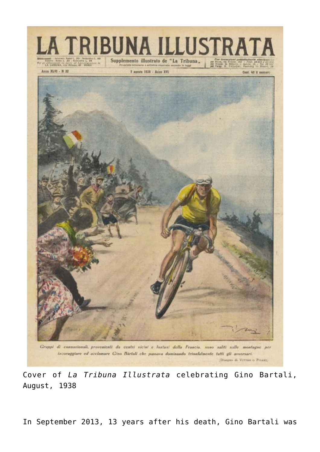

Cover of *La Tribuna Illustrata* celebrating Gino Bartali, August, 1938

In September 2013, 13 years after his death, Gino Bartali was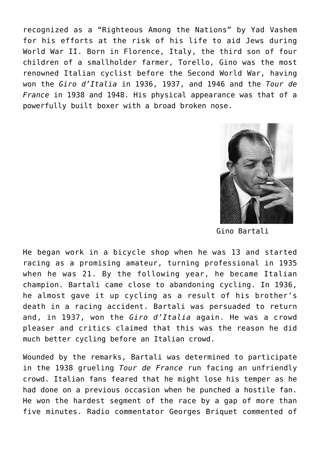recognized as a "Righteous Among the Nations" by Yad Vashem for his efforts at the risk of his life to aid Jews during World War II. Born in Florence, Italy, the third son of four children of a smallholder farmer, Torello, Gino was the most renowned Italian cyclist before the Second World War, having won the *Giro d'Italia* in 1936, 1937, and 1946 and the *Tour de France* in 1938 and 1948. His physical appearance was that of a powerfully built boxer with a broad broken nose.



Gino Bartali

He began work in a bicycle shop when he was 13 and started racing as a promising amateur, turning professional in 1935 when he was 21. By the following year, he became Italian champion. Bartali came close to abandoning cycling. In 1936, he almost gave it up cycling as a result of his brother's death in a racing accident. Bartali was persuaded to return and, in 1937, won the *Giro d'Italia* again. He was a crowd pleaser and critics claimed that this was the reason he did much better cycling before an Italian crowd.

Wounded by the remarks, Bartali was determined to participate in the 1938 grueling *Tour de France* run facing an unfriendly crowd. Italian fans feared that he might lose his temper as he had done on a previous occasion when he punched a hostile fan. He won the hardest segment of the race by a gap of more than five minutes. Radio commentator Georges Briquet commented of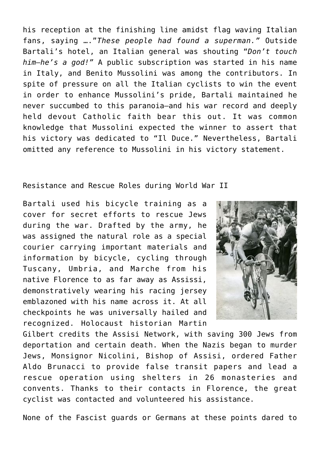his reception at the finishing line amidst flag waving Italian fans, saying …."*These people had found a superman."* Outside Bartali's hotel, an Italian general was shouting "*Don't touch him—he's a god!"* A public subscription was started in his name in Italy, and Benito Mussolini was among the contributors. In spite of pressure on all the Italian cyclists to win the event in order to enhance Mussolini's pride, Bartali maintained he never succumbed to this paranoia—and his war record and deeply held devout Catholic faith bear this out. It was common knowledge that Mussolini expected the winner to assert that his victory was dedicated to "Il Duce." Nevertheless, Bartali omitted any reference to Mussolini in his victory statement.

## Resistance and Rescue Roles during World War II

Bartali used his bicycle training as a cover for secret efforts to rescue Jews during the war. Drafted by the army, he was assigned the natural role as a special courier carrying important materials and information by bicycle, cycling through Tuscany, Umbria, and Marche from his native Florence to as far away as Assissi, demonstratively wearing his racing jersey emblazoned with his name across it. At all checkpoints he was universally hailed and recognized. Holocaust historian Martin



Gilbert credits the Assisi Network, with saving 300 Jews from deportation and certain death. When the Nazis began to murder Jews, Monsignor Nicolini, Bishop of Assisi, ordered Father Aldo Brunacci to provide false transit papers and lead a rescue operation using shelters in 26 monasteries and convents. Thanks to their contacts in Florence, the great cyclist was contacted and volunteered his assistance.

None of the Fascist guards or Germans at these points dared to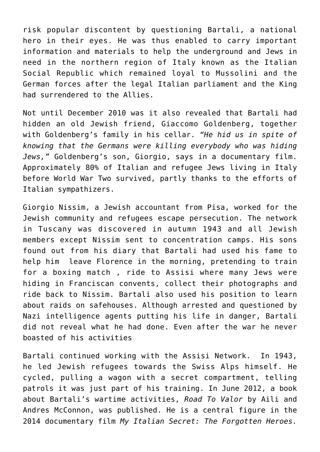risk popular discontent by questioning Bartali, a national hero in their eyes. He was thus enabled to carry important information and materials to help the underground and Jews in need in the northern region of Italy known as the Italian Social Republic which remained loyal to Mussolini and the German forces after the legal Italian parliament and the King had surrendered to the Allies.

Not until December 2010 was it also revealed that Bartali had hidden an old Jewish friend, Giaccomo Goldenberg, together with Goldenberg's family in his cellar. *"He hid us in spite of knowing that the Germans were killing everybody who was hiding Jews,"* Goldenberg's son, Giorgio, says in a documentary film. Approximately 80% of Italian and refugee Jews living in Italy before World War Two survived, partly thanks to the efforts of Italian sympathizers.

Giorgio Nissim, a Jewish accountant from Pisa, worked for the Jewish community and refugees escape persecution. The network in Tuscany was discovered in autumn 1943 and all Jewish members except Nissim sent to concentration camps. His sons found out from his diary that Bartali had used his fame to help him leave Florence in the morning, pretending to train for a boxing match , ride to Assisi where many Jews were hiding in Franciscan convents, collect their photographs and ride back to Nissim. Bartali also used his position to learn about raids on safehouses. Although arrested and questioned by Nazi intelligence agents putting his life in danger, Bartali did not reveal what he had done. Even after the war he never boasted of his activities

Bartali continued working with the Assisi Network. In 1943, he led Jewish refugees towards the Swiss Alps himself. He cycled, pulling a wagon with a secret compartment, telling patrols it was just part of his training. In June 2012, a book about Bartali's wartime activities, *Road To Valor* by Aili and Andres McConnon, was published. He is a central figure in the 2014 documentary film *My Italian Secret: The Forgotten Heroes.*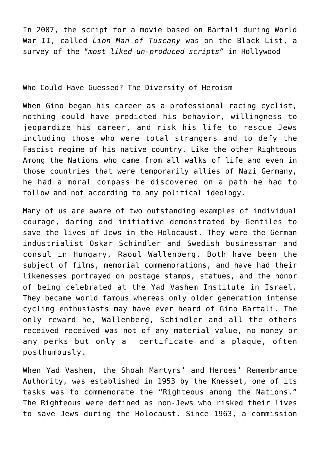In 2007, the script for a movie based on Bartali during World War II, called *Lion Man of Tuscany* was on the Black List, a survey of the "*most liked un-produced scripts"* in Hollywood

Who Could Have Guessed? The Diversity of Heroism

When Gino began his career as a professional racing cyclist, nothing could have predicted his behavior, willingness to jeopardize his career, and risk his life to rescue Jews including those who were total strangers and to defy the Fascist regime of his native country. Like the other Righteous Among the Nations who came from all walks of life and even in those countries that were temporarily allies of Nazi Germany, he had a moral compass he discovered on a path he had to follow and not according to any political ideology.

Many of us are aware of two outstanding examples of individual courage, daring and initiative demonstrated by Gentiles to save the lives of Jews in the Holocaust. They were the German industrialist Oskar Schindler and Swedish businessman and consul in Hungary, Raoul Wallenberg. Both have been the subject of films, memorial commemorations, and have had their likenesses portrayed on postage stamps, statues, and the honor of being celebrated at the Yad Vashem Institute in Israel. They became world famous whereas only older generation intense cycling enthusiasts may have ever heard of Gino Bartali. The only reward he, Wallenberg, Schindler and all the others received received was not of any material value, no money or any perks but only a certificate and a plaque, often posthumously.

When Yad Vashem, the Shoah Martyrs' and Heroes' Remembrance Authority, was established in 1953 by the Knesset, one of its tasks was to commemorate the "Righteous among the Nations." The Righteous were defined as non-Jews who risked their lives to save Jews during the Holocaust. Since 1963, a commission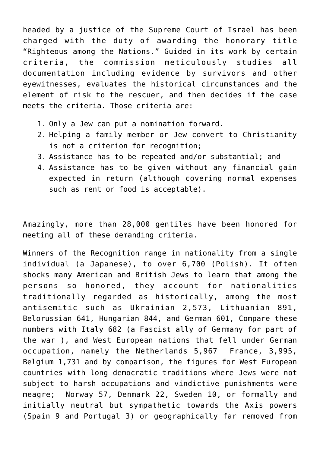headed by a justice of the Supreme Court of Israel has been charged with the duty of awarding the honorary title "Righteous among the Nations." Guided in its work by certain criteria, the commission meticulously studies all documentation including evidence by survivors and other eyewitnesses, evaluates the historical circumstances and the element of risk to the rescuer, and then decides if the case meets the criteria. Those criteria are:

- 1. Only a Jew can put a nomination forward.
- 2. Helping a family member or Jew convert to Christianity is not a criterion for recognition;
- 3. Assistance has to be repeated and/or substantial; and
- 4. Assistance has to be given without any financial gain expected in return (although covering normal expenses such as rent or food is acceptable).

Amazingly, more than 28,000 gentiles have been honored for meeting all of these demanding criteria.

Winners of the Recognition range in nationality from a single individual (a Japanese), to over 6,700 (Polish). It often shocks many American and British Jews to learn that among the persons so honored, they account for nationalities traditionally regarded as historically, among the most antisemitic such as Ukrainian 2,573, Lithuanian 891, Belorussian 641, Hungarian 844, and German 601, Compare these numbers with Italy 682 (a Fascist ally of Germany for part of the war ), and West European nations that fell under German occupation, namely the Netherlands 5,967 France, 3,995, Belgium 1,731 and by comparison, the figures for West European countries with long democratic traditions where Jews were not subject to harsh occupations and vindictive punishments were meagre; Norway 57, Denmark 22, Sweden 10, or formally and initially neutral but sympathetic towards the Axis powers (Spain 9 and Portugal 3) or geographically far removed from